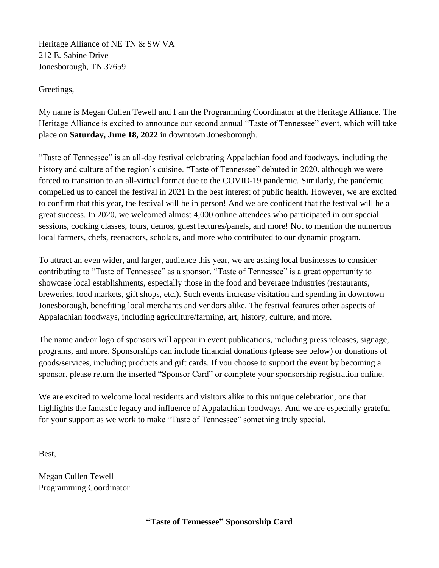Heritage Alliance of NE TN & SW VA 212 E. Sabine Drive Jonesborough, TN 37659

Greetings,

My name is Megan Cullen Tewell and I am the Programming Coordinator at the Heritage Alliance. The Heritage Alliance is excited to announce our second annual "Taste of Tennessee" event, which will take place on **Saturday, June 18, 2022** in downtown Jonesborough.

"Taste of Tennessee" is an all-day festival celebrating Appalachian food and foodways, including the history and culture of the region's cuisine. "Taste of Tennessee" debuted in 2020, although we were forced to transition to an all-virtual format due to the COVID-19 pandemic. Similarly, the pandemic compelled us to cancel the festival in 2021 in the best interest of public health. However, we are excited to confirm that this year, the festival will be in person! And we are confident that the festival will be a great success. In 2020, we welcomed almost 4,000 online attendees who participated in our special sessions, cooking classes, tours, demos, guest lectures/panels, and more! Not to mention the numerous local farmers, chefs, reenactors, scholars, and more who contributed to our dynamic program.

To attract an even wider, and larger, audience this year, we are asking local businesses to consider contributing to "Taste of Tennessee" as a sponsor. "Taste of Tennessee" is a great opportunity to showcase local establishments, especially those in the food and beverage industries (restaurants, breweries, food markets, gift shops, etc.). Such events increase visitation and spending in downtown Jonesborough, benefiting local merchants and vendors alike. The festival features other aspects of Appalachian foodways, including agriculture/farming, art, history, culture, and more.

The name and/or logo of sponsors will appear in event publications, including press releases, signage, programs, and more. Sponsorships can include financial donations (please see below) or donations of goods/services, including products and gift cards. If you choose to support the event by becoming a sponsor, please return the inserted "Sponsor Card" or complete your sponsorship registration online.

We are excited to welcome local residents and visitors alike to this unique celebration, one that highlights the fantastic legacy and influence of Appalachian foodways. And we are especially grateful for your support as we work to make "Taste of Tennessee" something truly special.

Best,

Megan Cullen Tewell Programming Coordinator